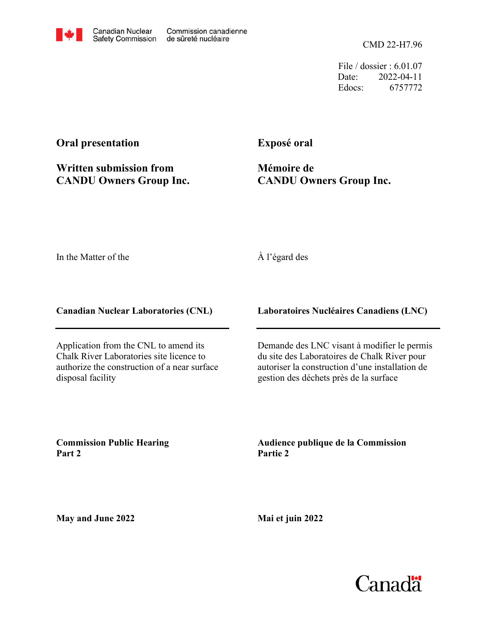CMD 22-H7.96

File / dossier : 6.01.07 Date: 2022-04-11 Edocs: 6757772

## **Oral presentation**

**Written submission from CANDU Owners Group Inc.** **Exposé oral**

**Mémoire de CANDU Owners Group Inc.**

In the Matter of the

## À l'égard des

**Canadian Nuclear Laboratories (CNL)**

Application from the CNL to amend its Chalk River Laboratories site licence to authorize the construction of a near surface disposal facility

**Laboratoires Nucléaires Canadiens (LNC)**

Demande des LNC visant à modifier le permis du site des Laboratoires de Chalk River pour autoriser la construction d'une installation de gestion des déchets près de la surface

**Commission Public Hearing Part 2**

**Audience publique de la Commission Partie 2**

**May and June 2022**

**Mai et juin 2022**

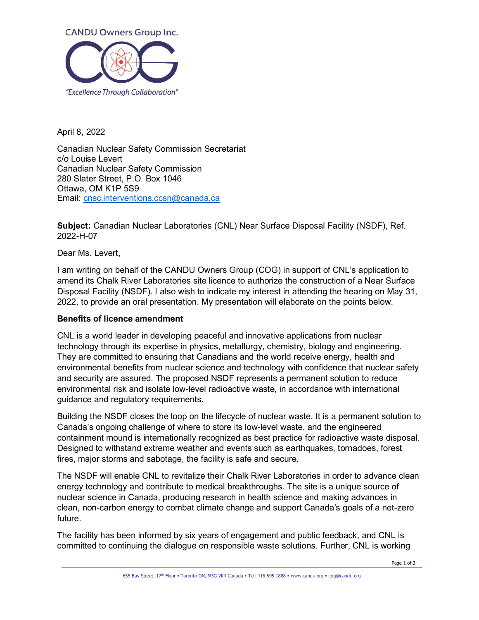

April 8, 2022

Canadian Nuclear Safety Commission Secretariat c/o Louise Levert Canadian Nuclear Safety Commission 280 Slater Street, P.O. Box 1046 Ottawa, OM K1P 5S9 Email: cnsc.interventions.ccsn@canada.ca

**Subject:** Canadian Nuclear Laboratories (CNL) Near Surface Disposal Facility (NSDF), Ref. 2022-H-07

Dear Ms. Levert,

I am writing on behalf of the CANDU Owners Group (COG) in support of CNL's application to amend its Chalk River Laboratories site licence to authorize the construction of a Near Surface Disposal Facility (NSDF). I also wish to indicate my interest in attending the hearing on May 31, 2022, to provide an oral presentation. My presentation will elaborate on the points below.

## **Benefits of licence amendment**

CNL is a world leader in developing peaceful and innovative applications from nuclear technology through its expertise in physics, metallurgy, chemistry, biology and engineering. They are committed to ensuring that Canadians and the world receive energy, health and environmental benefits from nuclear science and technology with confidence that nuclear safety and security are assured. The proposed NSDF represents a permanent solution to reduce environmental risk and isolate low-level radioactive waste, in accordance with international guidance and regulatory requirements.

Building the NSDF closes the loop on the lifecycle of nuclear waste. It is a permanent solution to Canada's ongoing challenge of where to store its low-level waste, and the engineered containment mound is internationally recognized as best practice for radioactive waste disposal. Designed to withstand extreme weather and events such as earthquakes, tornadoes, forest fires, major storms and sabotage, the facility is safe and secure.

The NSDF will enable CNL to revitalize their Chalk River Laboratories in order to advance clean energy technology and contribute to medical breakthroughs. The site is a unique source of nuclear science in Canada, producing research in health science and making advances in clean, non-carbon energy to combat climate change and support Canada's goals of a net-zero future.

The facility has been informed by six years of engagement and public feedback, and CNL is committed to continuing the dialogue on responsible waste solutions. Further, CNL is working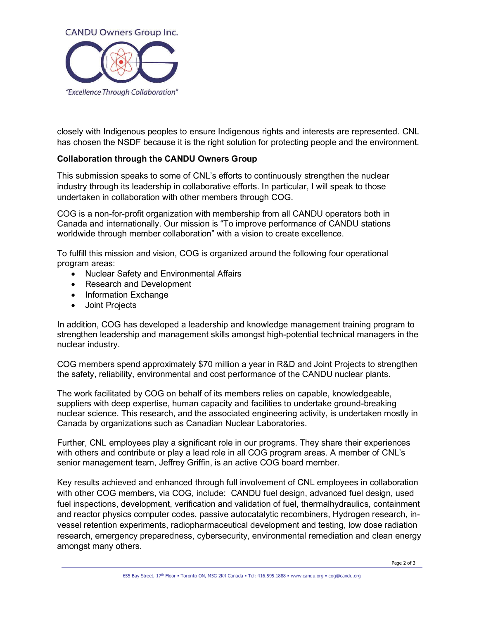

closely with Indigenous peoples to ensure Indigenous rights and interests are represented. CNL has chosen the NSDF because it is the right solution for protecting people and the environment.

## **Collaboration through the CANDU Owners Group**

This submission speaks to some of CNL's efforts to continuously strengthen the nuclear industry through its leadership in collaborative efforts. In particular, I will speak to those undertaken in collaboration with other members through COG.

COG is a non-for-profit organization with membership from all CANDU operators both in Canada and internationally. Our mission is "To improve performance of CANDU stations worldwide through member collaboration" with a vision to create excellence.

To fulfill this mission and vision, COG is organized around the following four operational program areas:

- Nuclear Safety and Environmental Affairs
- Research and Development
- Information Exchange
- Joint Projects

In addition, COG has developed a leadership and knowledge management training program to strengthen leadership and management skills amongst high-potential technical managers in the nuclear industry.

COG members spend approximately \$70 million a year in R&D and Joint Projects to strengthen the safety, reliability, environmental and cost performance of the CANDU nuclear plants.

The work facilitated by COG on behalf of its members relies on capable, knowledgeable, suppliers with deep expertise, human capacity and facilities to undertake ground-breaking nuclear science. This research, and the associated engineering activity, is undertaken mostly in Canada by organizations such as Canadian Nuclear Laboratories.

Further, CNL employees play a significant role in our programs. They share their experiences with others and contribute or play a lead role in all COG program areas. A member of CNL's senior management team, Jeffrey Griffin, is an active COG board member.

Key results achieved and enhanced through full involvement of CNL employees in collaboration with other COG members, via COG, include: CANDU fuel design, advanced fuel design, used fuel inspections, development, verification and validation of fuel, thermalhydraulics, containment and reactor physics computer codes, passive autocatalytic recombiners, Hydrogen research, invessel retention experiments, radiopharmaceutical development and testing, low dose radiation research, emergency preparedness, cybersecurity, environmental remediation and clean energy amongst many others.